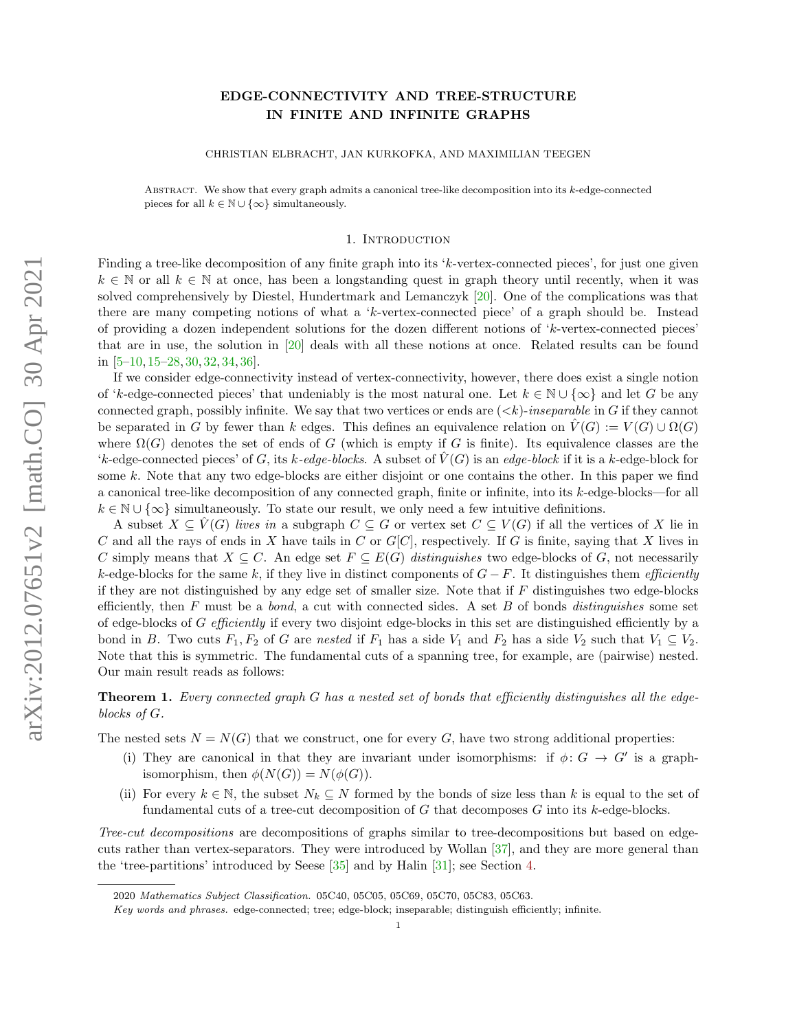# EDGE-CONNECTIVITY AND TREE-STRUCTURE IN FINITE AND INFINITE GRAPHS

CHRISTIAN ELBRACHT, JAN KURKOFKA, AND MAXIMILIAN TEEGEN

ABSTRACT. We show that every graph admits a canonical tree-like decomposition into its  $k$ -edge-connected pieces for all  $k \in \mathbb{N} \cup \{\infty\}$  simultaneously.

#### 1. Introduction

Finding a tree-like decomposition of any finite graph into its 'k-vertex-connected pieces', for just one given  $k \in \mathbb{N}$  or all  $k \in \mathbb{N}$  at once, has been a longstanding quest in graph theory until recently, when it was solved comprehensively by Diestel, Hundertmark and Lemanczyk [\[20\]](#page-11-0). One of the complications was that there are many competing notions of what a 'k-vertex-connected piece' of a graph should be. Instead of providing a dozen independent solutions for the dozen different notions of 'k-vertex-connected pieces' that are in use, the solution in [\[20\]](#page-11-0) deals with all these notions at once. Related results can be found in [\[5](#page-10-0)[–10,](#page-11-1) [15](#page-11-2)[–28,](#page-11-3) [30,](#page-11-4) [32,](#page-11-5) [34,](#page-11-6) [36\]](#page-11-7).

If we consider edge-connectivity instead of vertex-connectivity, however, there does exist a single notion of 'k-edge-connected pieces' that undeniably is the most natural one. Let  $k \in \mathbb{N} \cup \{\infty\}$  and let G be any connected graph, possibly infinite. We say that two vertices or ends are  $( $k$ )-inseparable in G if they cannot$ be separated in G by fewer than k edges. This defines an equivalence relation on  $V(G) := V(G) \cup \Omega(G)$ where  $\Omega(G)$  denotes the set of ends of G (which is empty if G is finite). Its equivalence classes are the 'k-edge-connected pieces' of G, its k-edge-blocks. A subset of  $V(G)$  is an edge-block if it is a k-edge-block for some k. Note that any two edge-blocks are either disjoint or one contains the other. In this paper we find a canonical tree-like decomposition of any connected graph, finite or infinite, into its k-edge-blocks—for all  $k \in \mathbb{N} \cup \{\infty\}$  simultaneously. To state our result, we only need a few intuitive definitions.

A subset  $X \subseteq V(G)$  lives in a subgraph  $C \subseteq G$  or vertex set  $C \subseteq V(G)$  if all the vertices of X lie in C and all the rays of ends in X have tails in C or  $G[C]$ , respectively. If G is finite, saying that X lives in C simply means that  $X \subseteq C$ . An edge set  $F \subseteq E(G)$  distinguishes two edge-blocks of G, not necessarily k-edge-blocks for the same k, if they live in distinct components of  $G-F$ . It distinguishes them *efficiently* if they are not distinguished by any edge set of smaller size. Note that if F distinguishes two edge-blocks efficiently, then  $F$  must be a *bond*, a cut with connected sides. A set  $B$  of bonds *distinguishes* some set of edge-blocks of G efficiently if every two disjoint edge-blocks in this set are distinguished efficiently by a bond in B. Two cuts  $F_1, F_2$  of G are nested if  $F_1$  has a side  $V_1$  and  $F_2$  has a side  $V_2$  such that  $V_1 \subseteq V_2$ . Note that this is symmetric. The fundamental cuts of a spanning tree, for example, are (pairwise) nested. Our main result reads as follows:

<span id="page-0-0"></span>**Theorem 1.** Every connected graph  $G$  has a nested set of bonds that efficiently distinguishes all the edgeblocks of G.

The nested sets  $N = N(G)$  that we construct, one for every G, have two strong additional properties:

- (i) They are canonical in that they are invariant under isomorphisms: if  $\phi: G \to G'$  is a graphisomorphism, then  $\phi(N(G)) = N(\phi(G)).$
- (ii) For every  $k \in \mathbb{N}$ , the subset  $N_k \subseteq N$  formed by the bonds of size less than k is equal to the set of fundamental cuts of a tree-cut decomposition of  $G$  that decomposes  $G$  into its  $k$ -edge-blocks.

Tree-cut decompositions are decompositions of graphs similar to tree-decompositions but based on edgecuts rather than vertex-separators. They were introduced by Wollan [\[37\]](#page-11-8), and they are more general than the 'tree-partitions' introduced by Seese [\[35\]](#page-11-9) and by Halin [\[31\]](#page-11-10); see Section [4.](#page-5-0)

<sup>2020</sup> Mathematics Subject Classification. 05C40, 05C05, 05C69, 05C70, 05C83, 05C63.

Key words and phrases. edge-connected; tree; edge-block; inseparable; distinguish efficiently; infinite.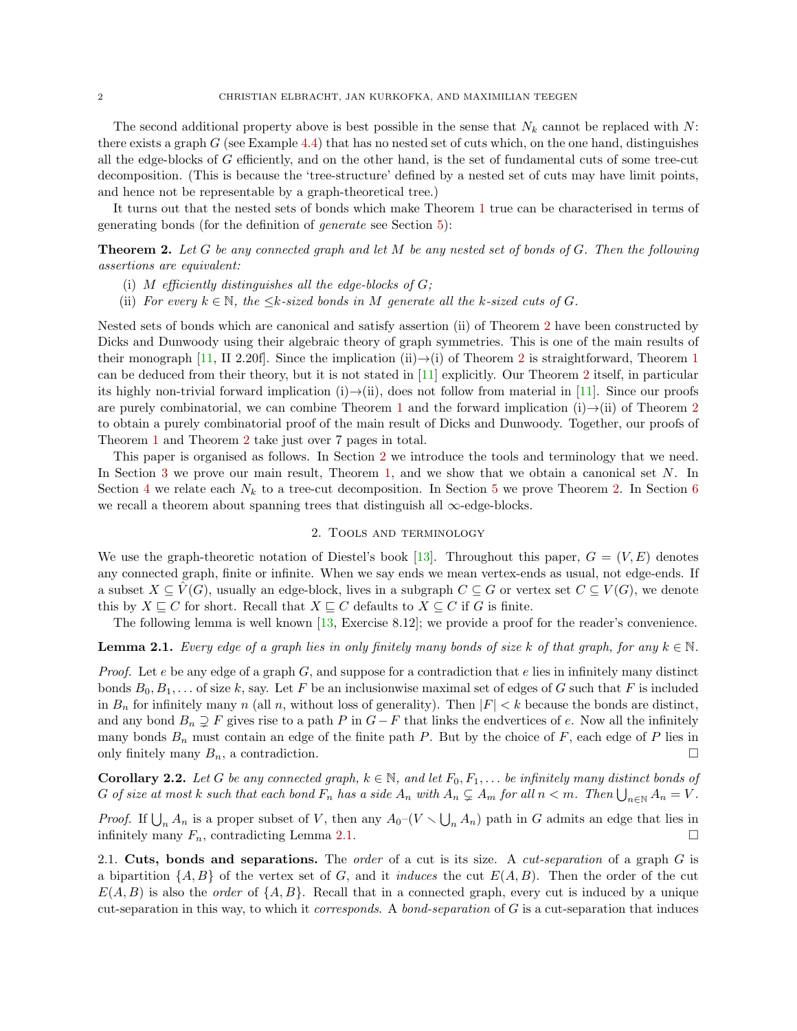The second additional property above is best possible in the sense that  $N_k$  cannot be replaced with N: there exists a graph  $G$  (see Example [4.4\)](#page-7-0) that has no nested set of cuts which, on the one hand, distinguishes all the edge-blocks of G efficiently, and on the other hand, is the set of fundamental cuts of some tree-cut decomposition. (This is because the 'tree-structure' defined by a nested set of cuts may have limit points, and hence not be representable by a graph-theoretical tree.)

It turns out that the nested sets of bonds which make Theorem [1](#page-0-0) true can be characterised in terms of generating bonds (for the definition of generate see Section [5\)](#page-8-0):

<span id="page-1-0"></span>**Theorem 2.** Let G be any connected graph and let M be any nested set of bonds of G. Then the following assertions are equivalent:

- (i) M efficiently distinguishes all the edge-blocks of  $G$ ;
- (ii) For every  $k \in \mathbb{N}$ , the  $\leq k$ -sized bonds in M generate all the k-sized cuts of G.

Nested sets of bonds which are canonical and satisfy assertion (ii) of Theorem [2](#page-1-0) have been constructed by Dicks and Dunwoody using their algebraic theory of graph symmetries. This is one of the main results of their monograph [\[11,](#page-11-11) II [2](#page-1-0).20f]. Since the implication (ii) $\rightarrow$ (i) of Theorem 2 is straightforward, Theorem [1](#page-0-0) can be deduced from their theory, but it is not stated in [\[11\]](#page-11-11) explicitly. Our Theorem [2](#page-1-0) itself, in particular its highly non-trivial forward implication (i) $\rightarrow$ (ii), does not follow from material in [\[11\]](#page-11-11). Since our proofs are purely combinatorial, we can combine Theorem [1](#page-0-0) and the forward implication (i) $\rightarrow$ (ii) of Theorem [2](#page-1-0) to obtain a purely combinatorial proof of the main result of Dicks and Dunwoody. Together, our proofs of Theorem [1](#page-0-0) and Theorem [2](#page-1-0) take just over 7 pages in total.

This paper is organised as follows. In Section [2](#page-1-1) we introduce the tools and terminology that we need. In Section [3](#page-3-0) we prove our main result, Theorem [1,](#page-0-0) and we show that we obtain a canonical set  $N$ . In Section [4](#page-5-0) we relate each  $N_k$  to a tree-cut decomposition. In Section [5](#page-8-0) we prove Theorem [2.](#page-1-0) In Section [6](#page-10-1) we recall a theorem about spanning trees that distinguish all  $\infty$ -edge-blocks.

#### 2. Tools and terminology

<span id="page-1-1"></span>We use the graph-theoretic notation of Diestel's book [\[13\]](#page-11-12). Throughout this paper,  $G = (V, E)$  denotes any connected graph, finite or infinite. When we say ends we mean vertex-ends as usual, not edge-ends. If a subset  $X \subseteq \hat{V}(G)$ , usually an edge-block, lives in a subgraph  $C \subseteq G$  or vertex set  $C \subseteq V(G)$ , we denote this by  $X \sqsubseteq C$  for short. Recall that  $X \sqsubseteq C$  defaults to  $X \subseteq C$  if G is finite.

The following lemma is well known [\[13,](#page-11-12) Exercise 8.12]; we provide a proof for the reader's convenience.

# <span id="page-1-2"></span>**Lemma 2.1.** Every edge of a graph lies in only finitely many bonds of size k of that graph, for any  $k \in \mathbb{N}$ .

*Proof.* Let e be any edge of a graph  $G$ , and suppose for a contradiction that e lies in infinitely many distinct bonds  $B_0, B_1, \ldots$  of size k, say. Let F be an inclusionwise maximal set of edges of G such that F is included in  $B_n$  for infinitely many n (all n, without loss of generality). Then  $|F| < k$  because the bonds are distinct, and any bond  $B_n \supsetneq F$  gives rise to a path P in  $G-F$  that links the endvertices of e. Now all the infinitely many bonds  $B_n$  must contain an edge of the finite path P. But by the choice of F, each edge of P lies in only finitely many  $B_n$ , a contradiction.

<span id="page-1-3"></span>**Corollary 2.2.** Let G be any connected graph,  $k \in \mathbb{N}$ , and let  $F_0, F_1, \ldots$  be infinitely many distinct bonds of G of size at most k such that each bond  $F_n$  has a side  $A_n$  with  $A_n \subsetneq A_m$  for all  $n < m$ . Then  $\bigcup_{n \in \mathbb{N}} A_n = V$ .

*Proof.* If  $\bigcup_n A_n$  is a proper subset of V, then any  $A_0$ – $(V \setminus \bigcup_n A_n)$  path in G admits an edge that lies in infinitely many  $F_n$ , contradicting Lemma [2.1.](#page-1-2)

2.1. Cuts, bonds and separations. The *order* of a cut is its size. A *cut-separation* of a graph  $G$  is a bipartition  $\{A, B\}$  of the vertex set of G, and it *induces* the cut  $E(A, B)$ . Then the order of the cut  $E(A, B)$  is also the *order* of  $\{A, B\}$ . Recall that in a connected graph, every cut is induced by a unique cut-separation in this way, to which it *corresponds*. A *bond-separation* of  $G$  is a cut-separation that induces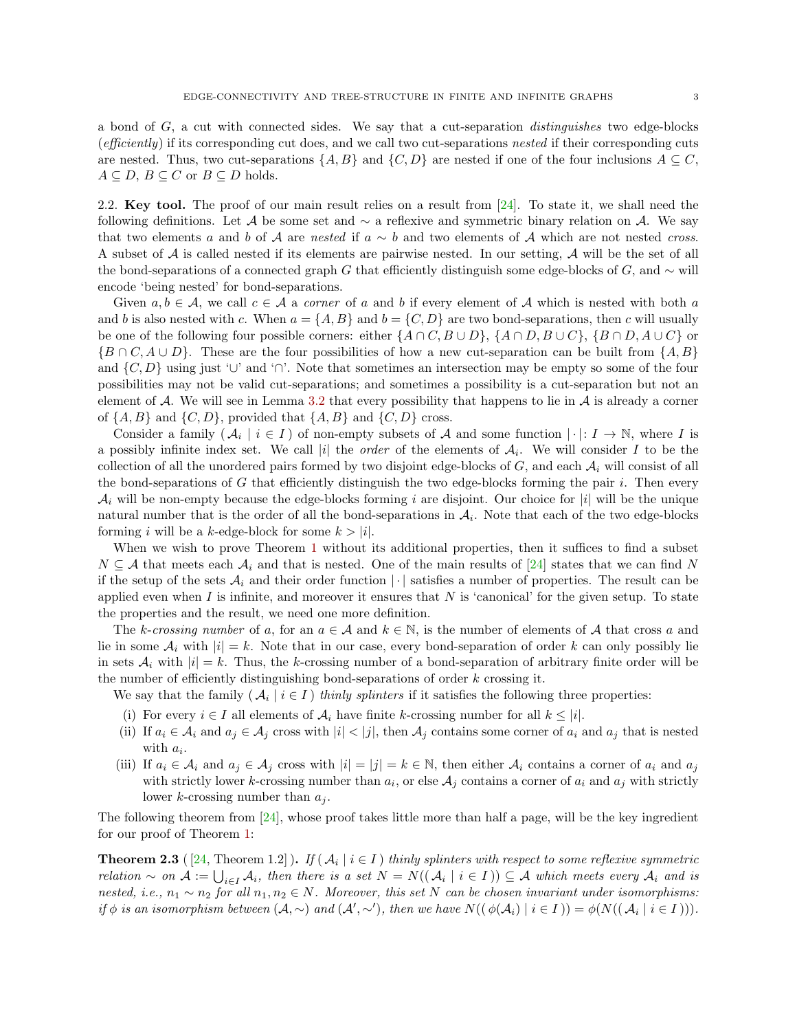a bond of  $G$ , a cut with connected sides. We say that a cut-separation *distinguishes* two edge-blocks (efficiently) if its corresponding cut does, and we call two cut-separations nested if their corresponding cuts are nested. Thus, two cut-separations  $\{A, B\}$  and  $\{C, D\}$  are nested if one of the four inclusions  $A \subseteq C$ ,  $A \subseteq D$ ,  $B \subseteq C$  or  $B \subseteq D$  holds.

<span id="page-2-0"></span>2.2. Key tool. The proof of our main result relies on a result from  $[24]$ . To state it, we shall need the following definitions. Let A be some set and  $\sim$  a reflexive and symmetric binary relation on A. We say that two elements a and b of A are nested if  $a \sim b$  and two elements of A which are not nested cross. A subset of A is called nested if its elements are pairwise nested. In our setting, A will be the set of all the bond-separations of a connected graph G that efficiently distinguish some edge-blocks of G, and  $\sim$  will encode 'being nested' for bond-separations.

Given  $a, b \in \mathcal{A}$ , we call  $c \in \mathcal{A}$  a corner of a and b if every element of  $\mathcal{A}$  which is nested with both a and b is also nested with c. When  $a = \{A, B\}$  and  $b = \{C, D\}$  are two bond-separations, then c will usually be one of the following four possible corners: either  $\{A \cap C, B \cup D\}$ ,  $\{A \cap D, B \cup C\}$ ,  $\{B \cap D, A \cup C\}$  or  ${B \cap C, A \cup D}$ . These are the four possibilities of how a new cut-separation can be built from  ${A, B}$ and  $\{C, D\}$  using just '∪' and '∩'. Note that sometimes an intersection may be empty so some of the four possibilities may not be valid cut-separations; and sometimes a possibility is a cut-separation but not an element of A. We will see in Lemma [3.2](#page-3-1) that every possibility that happens to lie in  $\mathcal A$  is already a corner of  $\{A, B\}$  and  $\{C, D\}$ , provided that  $\{A, B\}$  and  $\{C, D\}$  cross.

Consider a family  $(\mathcal{A}_i \mid i \in I)$  of non-empty subsets of  $\mathcal A$  and some function  $|\cdot|: I \to \mathbb N$ , where I is a possibly infinite index set. We call |i| the *order* of the elements of  $A_i$ . We will consider I to be the collection of all the unordered pairs formed by two disjoint edge-blocks of  $G$ , and each  $\mathcal{A}_i$  will consist of all the bond-separations of  $G$  that efficiently distinguish the two edge-blocks forming the pair  $i$ . Then every  $\mathcal{A}_i$  will be non-empty because the edge-blocks forming i are disjoint. Our choice for |i| will be the unique natural number that is the order of all the bond-separations in  $A<sub>i</sub>$ . Note that each of the two edge-blocks forming i will be a k-edge-block for some  $k > |i|$ .

When we wish to prove Theorem [1](#page-0-0) without its additional properties, then it suffices to find a subset  $N \subseteq A$  that meets each  $A_i$  and that is nested. One of the main results of [\[24\]](#page-11-13) states that we can find N if the setup of the sets  $A_i$  and their order function | | satisfies a number of properties. The result can be applied even when I is infinite, and moreover it ensures that  $N$  is 'canonical' for the given setup. To state the properties and the result, we need one more definition.

The k-crossing number of a, for an  $a \in \mathcal{A}$  and  $k \in \mathbb{N}$ , is the number of elements of  $\mathcal{A}$  that cross a and lie in some  $A_i$  with  $|i| = k$ . Note that in our case, every bond-separation of order k can only possibly lie in sets  $A_i$  with  $|i| = k$ . Thus, the k-crossing number of a bond-separation of arbitrary finite order will be the number of efficiently distinguishing bond-separations of order  $k$  crossing it.

We say that the family  $(\mathcal{A}_i \mid i \in I)$  thinly splinters if it satisfies the following three properties:

- <span id="page-2-2"></span>(i) For every  $i \in I$  all elements of  $A_i$  have finite k-crossing number for all  $k \leq |i|$ .
- <span id="page-2-4"></span>(ii) If  $a_i \in \mathcal{A}_i$  and  $a_j \in \mathcal{A}_j$  cross with  $|i| < |j|$ , then  $\mathcal{A}_j$  contains some corner of  $a_i$  and  $a_j$  that is nested with  $a_i$ .
- <span id="page-2-3"></span>(iii) If  $a_i \in \mathcal{A}_i$  and  $a_j \in \mathcal{A}_j$  cross with  $|i| = |j| = k \in \mathbb{N}$ , then either  $\mathcal{A}_i$  contains a corner of  $a_i$  and  $a_j$ with strictly lower k-crossing number than  $a_i$ , or else  $A_j$  contains a corner of  $a_i$  and  $a_j$  with strictly lower k-crossing number than  $a_i$ .

The following theorem from [\[24\]](#page-11-13), whose proof takes little more than half a page, will be the key ingredient for our proof of Theorem [1:](#page-0-0)

<span id="page-2-1"></span>**Theorem 2.3** ([\[24,](#page-11-13) Theorem 1.2]). If  $(A_i \mid i \in I)$  thinly splinters with respect to some reflexive symmetric  $relation \sim on \mathcal{A} := \bigcup_{i \in I} A_i$ , then there is a set  $N = N((\mathcal{A}_i \mid i \in I)) \subseteq \mathcal{A}$  which meets every  $\mathcal{A}_i$  and is nested, i.e.,  $n_1 \sim n_2$  for all  $n_1, n_2 \in N$ . Moreover, this set N can be chosen invariant under isomorphisms: if  $\phi$  is an isomorphism between  $(A, \sim)$  and  $(A', \sim')$ , then we have  $N((\phi(A_i) | i \in I)) = \phi(N((A_i | i \in I))).$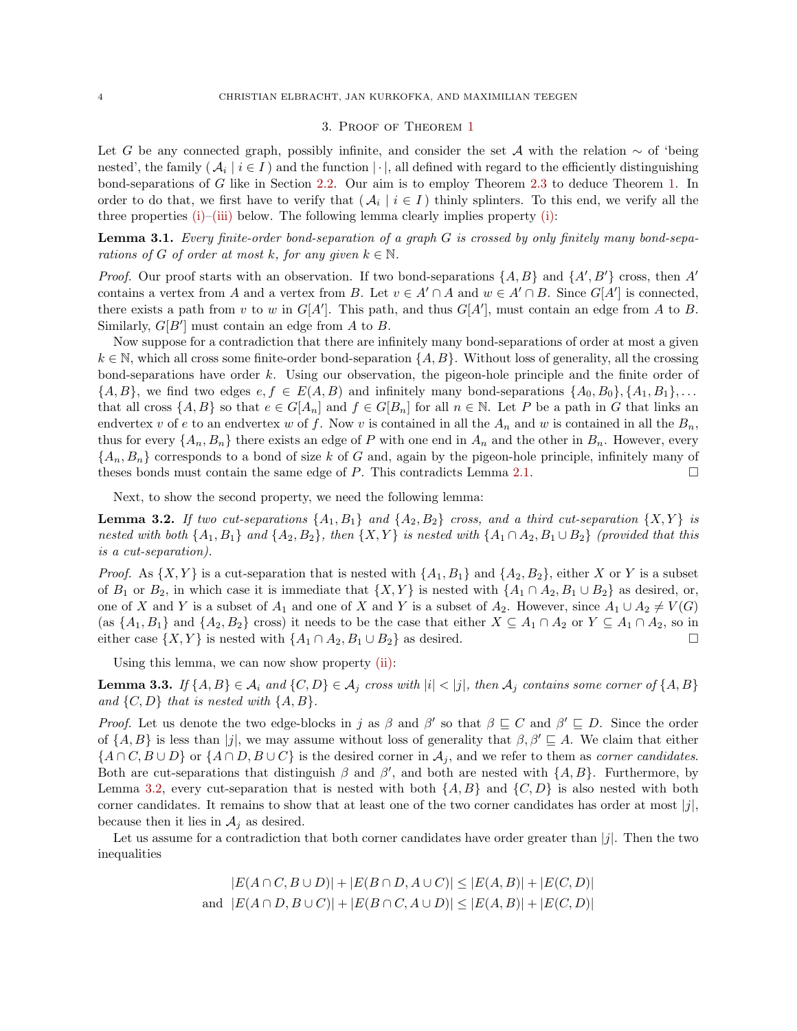### 3. Proof of Theorem [1](#page-0-0)

<span id="page-3-0"></span>Let G be any connected graph, possibly infinite, and consider the set A with the relation  $\sim$  of 'being nested', the family ( $A_i \mid i \in I$ ) and the function  $|\cdot|$ , all defined with regard to the efficiently distinguishing bond-separations of G like in Section [2.2.](#page-2-0) Our aim is to employ Theorem [2.3](#page-2-1) to deduce Theorem [1.](#page-0-0) In order to do that, we first have to verify that  $(\mathcal{A}_i \mid i \in I)$  thinly splinters. To this end, we verify all the three properties  $(i)$ – $(iii)$  below. The following lemma clearly implies property  $(i)$ :

<span id="page-3-2"></span>Lemma 3.1. Every finite-order bond-separation of a graph G is crossed by only finitely many bond-separations of G of order at most k, for any given  $k \in \mathbb{N}$ .

*Proof.* Our proof starts with an observation. If two bond-separations  $\{A, B\}$  and  $\{A', B'\}$  cross, then A' contains a vertex from A and a vertex from B. Let  $v \in A' \cap A$  and  $w \in A' \cap B$ . Since  $G[A']$  is connected, there exists a path from v to w in  $G[A']$ . This path, and thus  $G[A']$ , must contain an edge from A to B. Similarly,  $G[B']$  must contain an edge from A to B.

Now suppose for a contradiction that there are infinitely many bond-separations of order at most a given  $k \in \mathbb{N}$ , which all cross some finite-order bond-separation  $\{A, B\}$ . Without loss of generality, all the crossing bond-separations have order k. Using our observation, the pigeon-hole principle and the finite order of  $\{A, B\}$ , we find two edges  $e, f \in E(A, B)$  and infinitely many bond-separations  $\{A_0, B_0\}, \{A_1, B_1\}, \ldots$ that all cross  $\{A, B\}$  so that  $e \in G[A_n]$  and  $f \in G[B_n]$  for all  $n \in \mathbb{N}$ . Let P be a path in G that links an endvertex v of e to an endvertex w of f. Now v is contained in all the  $A_n$  and w is contained in all the  $B_n$ , thus for every  $\{A_n, B_n\}$  there exists an edge of P with one end in  $A_n$  and the other in  $B_n$ . However, every  ${A_n, B_n}$  corresponds to a bond of size k of G and, again by the pigeon-hole principle, infinitely many of theses bonds must contain the same edge of  $P$ . This contradicts Lemma [2.1.](#page-1-2)

Next, to show the second property, we need the following lemma:

<span id="page-3-1"></span>**Lemma 3.2.** If two cut-separations  $\{A_1, B_1\}$  and  $\{A_2, B_2\}$  cross, and a third cut-separation  $\{X, Y\}$  is nested with both  $\{A_1, B_1\}$  and  $\{A_2, B_2\}$ , then  $\{X, Y\}$  is nested with  $\{A_1 \cap A_2, B_1 \cup B_2\}$  (provided that this is a cut-separation).

*Proof.* As  $\{X, Y\}$  is a cut-separation that is nested with  $\{A_1, B_1\}$  and  $\{A_2, B_2\}$ , either X or Y is a subset of  $B_1$  or  $B_2$ , in which case it is immediate that  $\{X, Y\}$  is nested with  $\{A_1 \cap A_2, B_1 \cup B_2\}$  as desired, or, one of X and Y is a subset of  $A_1$  and one of X and Y is a subset of  $A_2$ . However, since  $A_1 \cup A_2 \neq V(G)$ (as  $\{A_1, B_1\}$  and  $\{A_2, B_2\}$  cross) it needs to be the case that either  $X \subseteq A_1 \cap A_2$  or  $Y \subseteq A_1 \cap A_2$ , so in either case  $\{X, Y\}$  is nested with  $\{A_1 \cap A_2, B_1 \cup B_2\}$  as desired.

Using this lemma, we can now show property [\(ii\):](#page-2-4)

<span id="page-3-3"></span>**Lemma 3.3.** If  $\{A, B\} \in \mathcal{A}_i$  and  $\{C, D\} \in \mathcal{A}_j$  cross with  $|i| < |j|$ , then  $\mathcal{A}_j$  contains some corner of  $\{A, B\}$ and  $\{C, D\}$  that is nested with  $\{A, B\}$ .

*Proof.* Let us denote the two edge-blocks in j as  $\beta$  and  $\beta'$  so that  $\beta \subseteq C$  and  $\beta' \subseteq D$ . Since the order of  $\{A, B\}$  is less than |j|, we may assume without loss of generality that  $\beta, \beta' \sqsubseteq A$ . We claim that either  $\{A \cap C, B \cup D\}$  or  $\{A \cap D, B \cup C\}$  is the desired corner in  $\mathcal{A}_j$ , and we refer to them as *corner candidates*. Both are cut-separations that distinguish  $\beta$  and  $\beta'$ , and both are nested with  $\{A, B\}$ . Furthermore, by Lemma [3.2,](#page-3-1) every cut-separation that is nested with both  $\{A, B\}$  and  $\{C, D\}$  is also nested with both corner candidates. It remains to show that at least one of the two corner candidates has order at most  $|j|$ , because then it lies in  $A_j$  as desired.

Let us assume for a contradiction that both corner candidates have order greater than  $|j|$ . Then the two inequalities

$$
|E(A \cap C, B \cup D)| + |E(B \cap D, A \cup C)| \le |E(A, B)| + |E(C, D)|
$$
  
and 
$$
|E(A \cap D, B \cup C)| + |E(B \cap C, A \cup D)| \le |E(A, B)| + |E(C, D)|
$$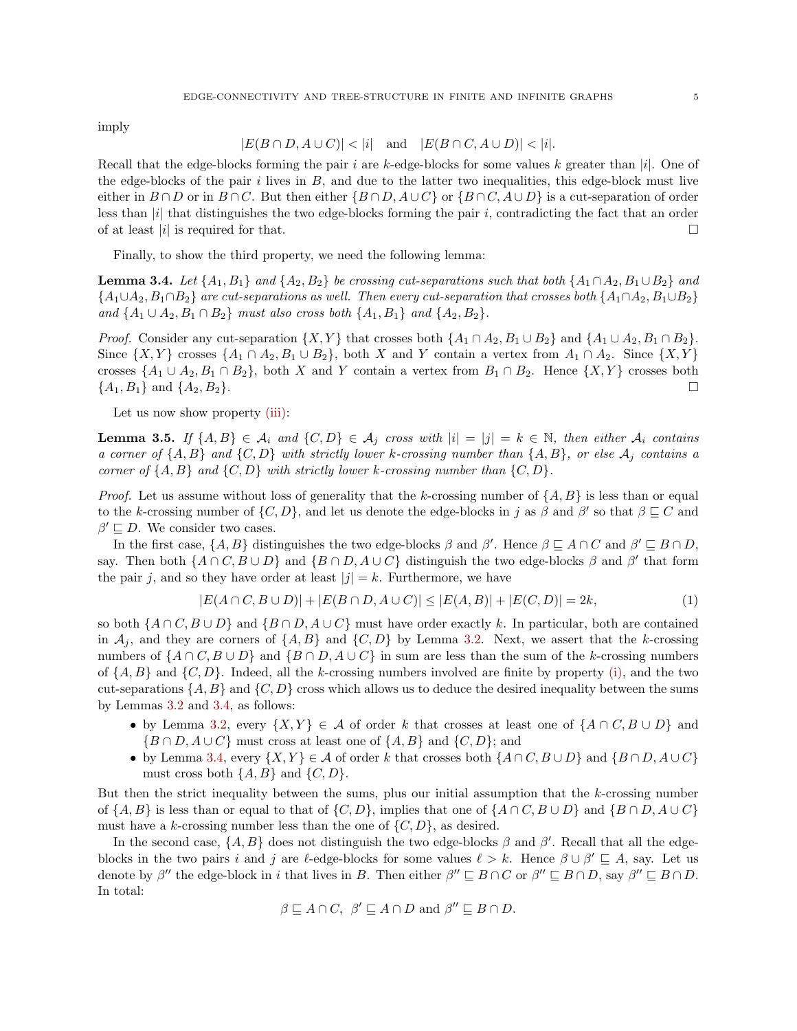imply

$$
|E(B \cap D, A \cup C)| < |i| \quad \text{and} \quad |E(B \cap C, A \cup D)| < |i|.
$$

Recall that the edge-blocks forming the pair i are k-edge-blocks for some values k greater than  $|i|$ . One of the edge-blocks of the pair i lives in  $B$ , and due to the latter two inequalities, this edge-block must live either in  $B \cap D$  or in  $B \cap C$ . But then either  $\{B \cap D, A \cup C\}$  or  $\{B \cap C, A \cup D\}$  is a cut-separation of order less than  $|i|$  that distinguishes the two edge-blocks forming the pair i, contradicting the fact that an order of at least  $|i|$  is required for that.

Finally, to show the third property, we need the following lemma:

<span id="page-4-0"></span>**Lemma 3.4.** Let  $\{A_1, B_1\}$  and  $\{A_2, B_2\}$  be crossing cut-separations such that both  $\{A_1 \cap A_2, B_1 \cup B_2\}$  and  ${A_1 \cup A_2, B_1 \cap B_2}$  are cut-separations as well. Then every cut-separation that crosses both  ${A_1 \cap A_2, B_1 \cup B_2}$ and  $\{A_1 \cup A_2, B_1 \cap B_2\}$  must also cross both  $\{A_1, B_1\}$  and  $\{A_2, B_2\}$ .

*Proof.* Consider any cut-separation  $\{X, Y\}$  that crosses both  $\{A_1 \cap A_2, B_1 \cup B_2\}$  and  $\{A_1 \cup A_2, B_1 \cap B_2\}$ . Since  $\{X, Y\}$  crosses  $\{A_1 \cap A_2, B_1 \cup B_2\}$ , both X and Y contain a vertex from  $A_1 \cap A_2$ . Since  $\{X, Y\}$ crosses  $\{A_1 \cup A_2, B_1 \cap B_2\}$ , both X and Y contain a vertex from  $B_1 \cap B_2$ . Hence  $\{X, Y\}$  crosses both  $\{A_1, B_1\}$  and  $\{A_2, B_2\}$ .

Let us now show property [\(iii\):](#page-2-3)

<span id="page-4-2"></span>**Lemma 3.5.** If  $\{A, B\} \in \mathcal{A}_i$  and  $\{C, D\} \in \mathcal{A}_j$  cross with  $|i| = |j| = k \in \mathbb{N}$ , then either  $\mathcal{A}_i$  contains a corner of  $\{A, B\}$  and  $\{C, D\}$  with strictly lower k-crossing number than  $\{A, B\}$ , or else  $A_i$  contains a corner of  $\{A, B\}$  and  $\{C, D\}$  with strictly lower k-crossing number than  $\{C, D\}$ .

*Proof.* Let us assume without loss of generality that the k-crossing number of  $\{A, B\}$  is less than or equal to the k-crossing number of  $\{C, D\}$ , and let us denote the edge-blocks in j as  $\beta$  and  $\beta'$  so that  $\beta \sqsubseteq C$  and  $\beta' \sqsubseteq D$ . We consider two cases.

In the first case,  $\{A, B\}$  distinguishes the two edge-blocks  $\beta$  and  $\beta'$ . Hence  $\beta \sqsubseteq A \cap C$  and  $\beta' \sqsubseteq B \cap D$ , say. Then both  $\{A \cap C, B \cup D\}$  and  $\{B \cap D, A \cup C\}$  distinguish the two edge-blocks  $\beta$  and  $\beta'$  that form the pair j, and so they have order at least  $|j| = k$ . Furthermore, we have

<span id="page-4-1"></span>
$$
|E(A \cap C, B \cup D)| + |E(B \cap D, A \cup C)| \le |E(A, B)| + |E(C, D)| = 2k,
$$
\n(1)

so both  $\{A \cap C, B \cup D\}$  and  $\{B \cap D, A \cup C\}$  must have order exactly k. In particular, both are contained in  $A_i$ , and they are corners of  $\{A, B\}$  and  $\{C, D\}$  by Lemma [3.2.](#page-3-1) Next, we assert that the k-crossing numbers of  $\{A \cap C, B \cup D\}$  and  $\{B \cap D, A \cup C\}$  in sum are less than the sum of the k-crossing numbers of  $\{A, B\}$  and  $\{C, D\}$ . Indeed, all the k-crossing numbers involved are finite by property [\(i\),](#page-2-2) and the two cut-separations  $\{A, B\}$  and  $\{C, D\}$  cross which allows us to deduce the desired inequality between the sums by Lemmas [3.2](#page-3-1) and [3.4,](#page-4-0) as follows:

- by Lemma [3.2,](#page-3-1) every  $\{X, Y\} \in \mathcal{A}$  of order k that crosses at least one of  $\{A \cap C, B \cup D\}$  and  ${B \cap D, A \cup C}$  must cross at least one of  ${A, B}$  and  ${C, D}$ ; and
- by Lemma [3.4,](#page-4-0) every  $\{X, Y\} \in \mathcal{A}$  of order k that crosses both  $\{A \cap C, B \cup D\}$  and  $\{B \cap D, A \cup C\}$ must cross both  $\{A, B\}$  and  $\{C, D\}$ .

But then the strict inequality between the sums, plus our initial assumption that the  $k$ -crossing number of  $\{A, B\}$  is less than or equal to that of  $\{C, D\}$ , implies that one of  $\{A \cap C, B \cup D\}$  and  $\{B \cap D, A \cup C\}$ must have a k-crossing number less than the one of  $\{C, D\}$ , as desired.

In the second case,  $\{A, B\}$  does not distinguish the two edge-blocks  $\beta$  and  $\beta'$ . Recall that all the edgeblocks in the two pairs i and j are l-edge-blocks for some values  $\ell > k$ . Hence  $\beta \cup \beta' \sqsubseteq A$ , say. Let us denote by  $\beta''$  the edge-block in i that lives in B. Then either  $\beta'' \sqsubseteq B \cap C$  or  $\beta'' \sqsubseteq B \cap D$ , say  $\beta'' \sqsubseteq B \cap D$ . In total:

$$
\beta \sqsubseteq A \cap C, \ \beta' \sqsubseteq A \cap D \text{ and } \beta'' \sqsubseteq B \cap D.
$$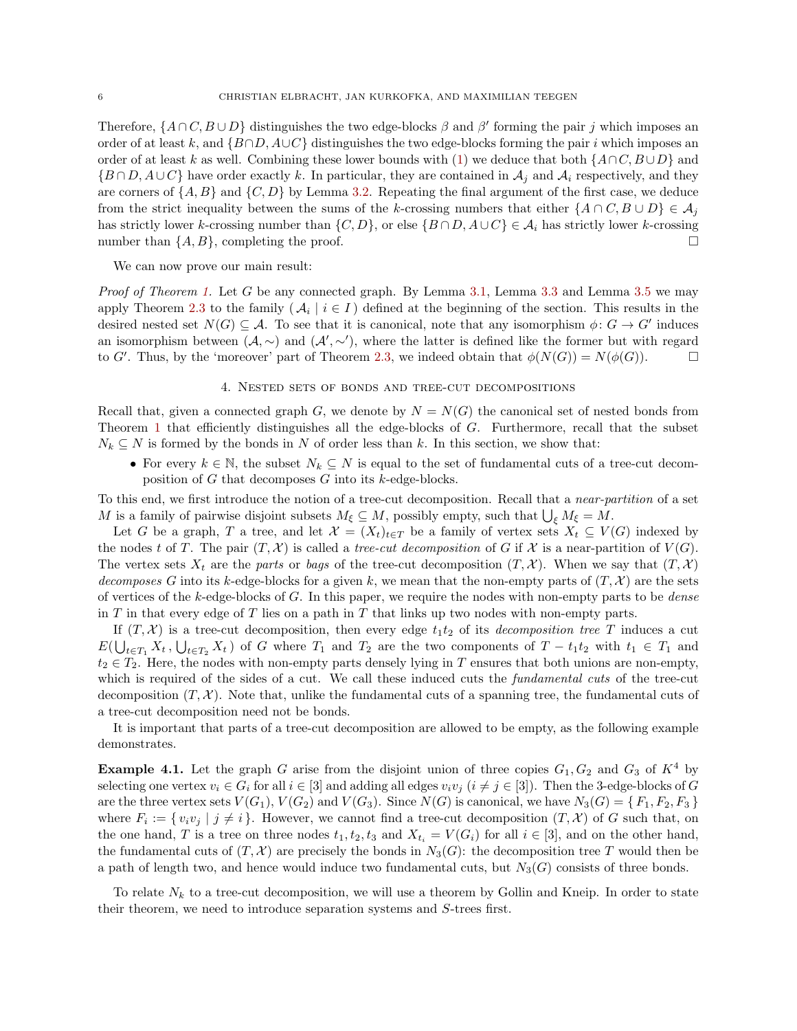Therefore,  $\{A \cap C, B \cup D\}$  distinguishes the two edge-blocks  $\beta$  and  $\beta'$  forming the pair j which imposes an order of at least k, and  $\{B \cap D, A \cup C\}$  distinguishes the two edge-blocks forming the pair i which imposes an order of at least k as well. Combining these lower bounds with [\(1\)](#page-4-1) we deduce that both  $\{A\cap C, B\cup D\}$  and  $\{B \cap D, A \cup C\}$  have order exactly k. In particular, they are contained in  $A_i$  and  $A_i$  respectively, and they are corners of  $\{A, B\}$  and  $\{C, D\}$  by Lemma [3.2.](#page-3-1) Repeating the final argument of the first case, we deduce from the strict inequality between the sums of the k-crossing numbers that either  $\{A \cap C, B \cup D\} \in \mathcal{A}_j$ has strictly lower k-crossing number than  $\{C, D\}$ , or else  $\{B \cap D, A \cup C\} \in \mathcal{A}_i$  has strictly lower k-crossing number than  $\{A, B\}$ , completing the proof.

We can now prove our main result:

*Proof of Theorem [1.](#page-0-0)* Let G be any connected graph. By Lemma [3.1,](#page-3-2) Lemma [3.3](#page-3-3) and Lemma [3.5](#page-4-2) we may apply Theorem [2.3](#page-2-1) to the family  $(\mathcal{A}_i \mid i \in I)$  defined at the beginning of the section. This results in the desired nested set  $N(G) \subseteq A$ . To see that it is canonical, note that any isomorphism  $\phi: G \to G'$  induces an isomorphism between  $(A, \sim)$  and  $(A', \sim')$ , where the latter is defined like the former but with regard to G'. Thus, by the 'moreover' part of Theorem [2.3,](#page-2-1) we indeed obtain that  $\phi(N(G)) = N(\phi(G))$ .

#### 4. Nested sets of bonds and tree-cut decompositions

<span id="page-5-0"></span>Recall that, given a connected graph G, we denote by  $N = N(G)$  the canonical set of nested bonds from Theorem [1](#page-0-0) that efficiently distinguishes all the edge-blocks of G. Furthermore, recall that the subset  $N_k \subseteq N$  is formed by the bonds in N of order less than k. In this section, we show that:

• For every  $k \in \mathbb{N}$ , the subset  $N_k \subseteq N$  is equal to the set of fundamental cuts of a tree-cut decomposition of G that decomposes G into its  $k$ -edge-blocks.

To this end, we first introduce the notion of a tree-cut decomposition. Recall that a near-partition of a set M is a family of pairwise disjoint subsets  $M_{\xi} \subseteq M$ , possibly empty, such that  $\bigcup_{\xi} M_{\xi} = M$ .

Let G be a graph, T a tree, and let  $\mathcal{X} = (X_t)_{t \in T}$  be a family of vertex sets  $X_t \subseteq V(G)$  indexed by the nodes t of T. The pair  $(T, \mathcal{X})$  is called a tree-cut decomposition of G if X is a near-partition of  $V(G)$ . The vertex sets  $X_t$  are the parts or bags of the tree-cut decomposition  $(T, \mathcal{X})$ . When we say that  $(T, \mathcal{X})$ decomposes G into its k-edge-blocks for a given k, we mean that the non-empty parts of  $(T, \mathcal{X})$  are the sets of vertices of the k-edge-blocks of G. In this paper, we require the nodes with non-empty parts to be *dense* in  $T$  in that every edge of  $T$  lies on a path in  $T$  that links up two nodes with non-empty parts.

If  $(T, \mathcal{X})$  is a tree-cut decomposition, then every edge  $t_1t_2$  of its decomposition tree T induces a cut  $E(\bigcup_{t\in T_1} X_t, \bigcup_{t\in T_2} X_t)$  of G where  $T_1$  and  $T_2$  are the two components of  $T-t_1t_2$  with  $t_1 \in T_1$  and  $t_2 \in T_2$ . Here, the nodes with non-empty parts densely lying in T ensures that both unions are non-empty, which is required of the sides of a cut. We call these induced cuts the *fundamental cuts* of the tree-cut decomposition  $(T, \mathcal{X})$ . Note that, unlike the fundamental cuts of a spanning tree, the fundamental cuts of a tree-cut decomposition need not be bonds.

It is important that parts of a tree-cut decomposition are allowed to be empty, as the following example demonstrates.

**Example 4.1.** Let the graph G arise from the disjoint union of three copies  $G_1, G_2$  and  $G_3$  of  $K^4$  by selecting one vertex  $v_i \in G_i$  for all  $i \in [3]$  and adding all edges  $v_i v_j$   $(i \neq j \in [3])$ . Then the 3-edge-blocks of G are the three vertex sets  $V(G_1), V(G_2)$  and  $V(G_3)$ . Since  $N(G)$  is canonical, we have  $N_3(G) = \{F_1, F_2, F_3\}$ where  $F_i := \{v_i v_j \mid j \neq i\}.$  However, we cannot find a tree-cut decomposition  $(T, \mathcal{X})$  of G such that, on the one hand, T is a tree on three nodes  $t_1, t_2, t_3$  and  $X_{t_i} = V(G_i)$  for all  $i \in [3]$ , and on the other hand, the fundamental cuts of  $(T, \mathcal{X})$  are precisely the bonds in  $N_3(G)$ : the decomposition tree T would then be a path of length two, and hence would induce two fundamental cuts, but  $N_3(G)$  consists of three bonds.

To relate  $N_k$  to a tree-cut decomposition, we will use a theorem by Gollin and Kneip. In order to state their theorem, we need to introduce separation systems and S-trees first.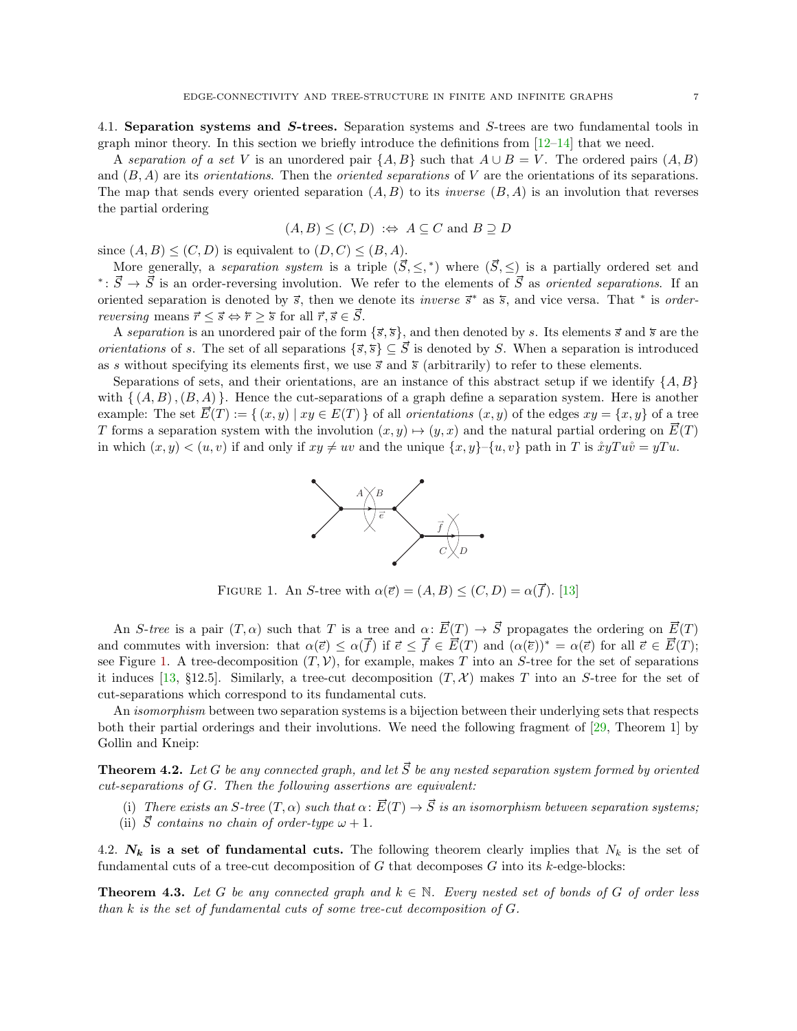4.1. Separation systems and S-trees. Separation systems and S-trees are two fundamental tools in graph minor theory. In this section we briefly introduce the definitions from  $[12-14]$  $[12-14]$  that we need. blocks, the set of  $\mathbb{R}^n$  in the angle set that lies in every  $\mathbb{R}^n$  with  $\mathbb{R}^n$  with  $\mathbb{R}^n$ 

A separation of a set V is an unordered pair  $\{A, B\}$  such that  $A \cup B = V$ . The ordered pairs  $(A, B)$ and  $(B, A)$  are its *orientations*. Then the *oriented separations* of V are the orientations of its separations. The map that sends every oriented separation  $(A, B)$  to its *inverse*  $(B, A)$  is an involution that reverses the partial ordering also meets a paramon  $(1, D)$  to his meets  $(D, 1)$  is and

$$
(A, B) \leq (C, D) \Leftrightarrow A \subseteq C \text{ and } B \supseteq D
$$

since  $(A, B) \leq (C, D)$  is equivalent to  $(D, C) \leq (B, A)$ .  $t_i(C, D)$  is equivalent to  $(D, C) \leq (B, A)$ .

More generally, a *separation system* is a triple  $(\vec{S}, \leq,^*)$  where  $(\vec{S}, \leq)$  is a partially ordered set and  $\overrightarrow{s}$  is an order-reversing involution. We refer to the elements of  $\overrightarrow{S}$  as *oriented separations*. If an  $\overrightarrow{s}$  is an order-reversing involution. We refer to the elements of  $\overrightarrow{S}$  as *oriented separations*. If oriented separation is denoted by  $\vec{s}$ , then we denote its *inverse*  $\vec{s}^*$  as  $\vec{s}$ , and vice versa. That <sup>\*</sup> is *order*reversing means  $\vec{r} \leq \vec{s} \Leftrightarrow \vec{r} \geq \vec{s}$  for all  $\vec{r}, \vec{s} \in \vec{S}$ .  $\text{ns } r \leq s \Leftrightarrow r \geq s \text{ for all } r, s \in \mathcal{S}.$ 

A separation is an unordered pair of the form  $\{\vec{s}, \vec{s}\}$ , and then denoted by s. Its elements  $\vec{s}$  and  $\vec{s}$  are the *orientations* of s. The set of all separations  $\{\vec{s}, \vec{s}\} \subseteq \vec{S}$  is denoted by S. When a separation is introduced as s without specifying its elements first, we use  $\vec{s}$  and  $\vec{s}$  (arbitrarily) to refer to these elements. ered pair of the form  $\{\vec{s}, \vec{s}\}$ , and then denoted by s. Its  $\epsilon$ 

<span id="page-6-0"></span>S-width speedlying the elements must, we use so and s (arbitratiny) to refer to these elements.<br>Separations of sets, and their orientations, are an instance of this abstract setup if we identify  $\{A, B\}$ with  $\{(A, B), (B, A)\}\.$  Hence the cut-separations of a graph define a separation system. Here is another example: The set  $\vec{E}(T) := \{(x, y) \mid xy \in E(T)\}\$  of all *orientations*  $(x, y)$  of the edges  $xy = \{x, y\}$  of a tree T forms a separation system with the involution  $(x, y) \mapsto (y, x)$  and the natural partial ordering on  $\vec{E}(T)$ in which  $(x, y) < (u, v)$  if and only if  $xy \neq uv$  and the unique  $\{x, y\}-\{u, v\}$  path in T is  $\dot{x}yTu\dot{v} = yTu$ . and their orientations, are an instance of this abstract setu aration system with the involution  $(x, y) \mapsto (y, x)$  and the natural p



 $\left( \begin{array}{cc} 1 & 1 \\ 1 & 1 \end{array} \right)$ FIGURE 1. An S-tree with  $\alpha(\vec{e}) = (A, B) \le (C, D) = \alpha(\vec{f})$ . [\[13\]](#page-11-12)

theorem The following assertions are equivalent for all graphs  $G$  and integers  $\mathcal{C}$ 

An S-tree is a pair  $(T, \alpha)$  such that T is a tree and  $\alpha: E(T) \to S$  propagates the ordering on  $E(T)$ and commutes with inversion: that  $\alpha(\vec{e}) \leq \alpha(\vec{f})$  if  $\vec{e} \leq \vec{f} \in \vec{E}(T)$  and  $(\alpha(\vec{e}))^* = \alpha(\vec{e})$  for all  $\vec{e} \in \vec{E}(T)$ ; see Figure [1.](#page-6-0) A tree-decomposition  $(T, V)$ , for example, makes T into an S-tree for the set of separations it induces [\[13,](#page-11-12) §12.5]. Similarly, a tree-cut decomposition  $(T, \mathcal{X})$  makes T into an S-tree for the set of cut-separations which correspond to its fundamental cuts.

An *isomorphism* between two separation systems is a bijection between their underlying sets that respects both their partial orderings and their involutions. We need the following fragment of [\[29,](#page-11-16) Theorem 1] by Gollin and Kneip:

<span id="page-6-1"></span>**Theorem 4.2.** Let G be any connected graph, and let  $\vec{S}$  be any nested separation system formed by oriented cut-separations of G. Then the following assertions are equivalent:

- (i) There exists an S-tree  $(T, \alpha)$  such that  $\alpha: \vec{E}(T) \to \vec{S}$  is an isomorphism between separation systems;
- (ii)  $\vec{S}$  contains no chain of order-type  $\omega + 1$ .

4.2.  $N_k$  is a set of fundamental cuts. The following theorem clearly implies that  $N_k$  is the set of fundamental cuts of a tree-cut decomposition of  $G$  that decomposes  $G$  into its  $k$ -edge-blocks:

<span id="page-6-2"></span>**Theorem 4.3.** Let G be any connected graph and  $k \in \mathbb{N}$ . Every nested set of bonds of G of order less than k is the set of fundamental cuts of some tree-cut decomposition of G.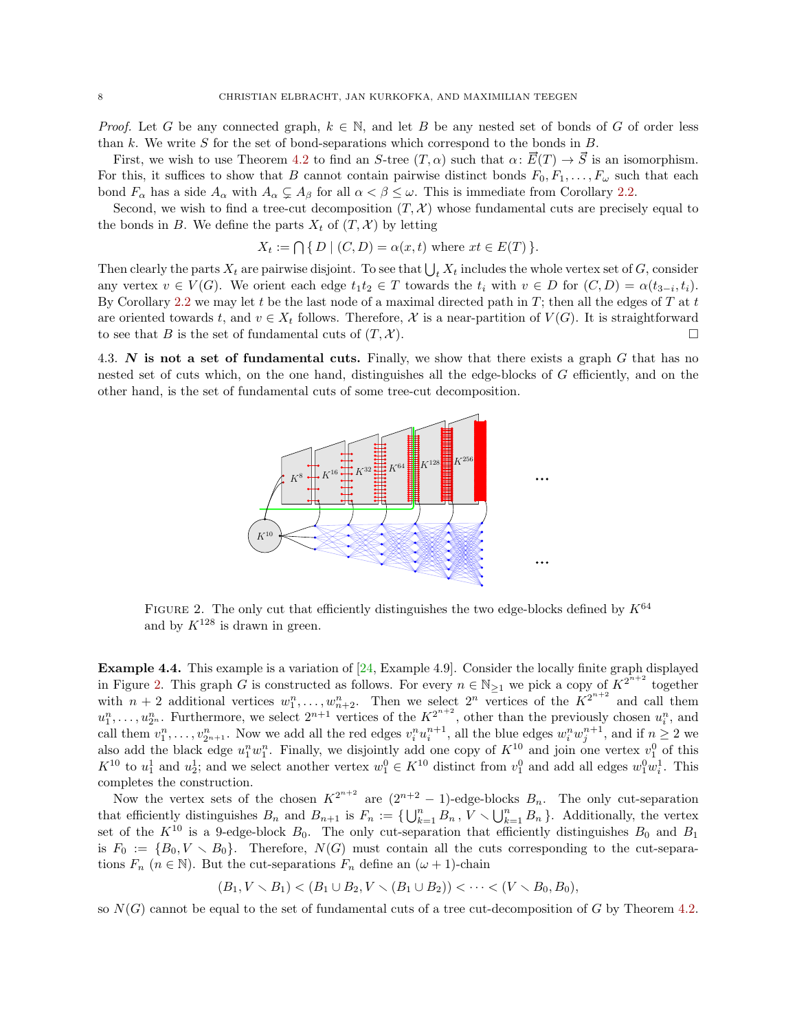*Proof.* Let G be any connected graph,  $k \in \mathbb{N}$ , and let B be any nested set of bonds of G of order less than  $k$ . We write  $S$  for the set of bond-separations which correspond to the bonds in  $B$ .

First, we wish to use Theorem [4.2](#page-6-1) to find an S-tree  $(T, \alpha)$  such that  $\alpha \colon \overline{E}(T) \to \overline{S}$  is an isomorphism. For this, it suffices to show that B cannot contain pairwise distinct bonds  $F_0, F_1, \ldots, F_\omega$  such that each bond  $F_{\alpha}$  has a side  $A_{\alpha}$  with  $A_{\alpha} \subsetneq A_{\beta}$  for all  $\alpha < \beta \leq \omega$ . This is immediate from Corollary [2.2.](#page-1-3)

Second, we wish to find a tree-cut decomposition  $(T, \mathcal{X})$  whose fundamental cuts are precisely equal to the bonds in B. We define the parts  $X_t$  of  $(T, \mathcal{X})$  by letting

$$
X_t := \bigcap \{ D \mid (C, D) = \alpha(x, t) \text{ where } xt \in E(T) \}.
$$

Then clearly the parts  $X_t$  are pairwise disjoint. To see that  $\bigcup_t X_t$  includes the whole vertex set of G, consider any vertex  $v \in V(G)$ . We orient each edge  $t_1t_2 \in T$  towards the  $t_i$  with  $v \in D$  for  $(C, D) = \alpha(t_{3-i}, t_i)$ . By Corollary [2.2](#page-1-3) we may let t be the last node of a maximal directed path in  $T$ ; then all the edges of  $T$  at t are oriented towards t, and  $v \in X_t$  follows. Therefore, X is a near-partition of  $V(G)$ . It is straightforward to see that B is the set of fundamental cuts of  $(T, \mathcal{X})$ .

<span id="page-7-1"></span>4.3. N is not a set of fundamental cuts. Finally, we show that there exists a graph  $G$  that has no nested set of cuts which, on the one hand, distinguishes all the edge-blocks of G efficiently, and on the other hand, is the set of fundamental cuts of some tree-cut decomposition.



FIGURE 2. The only cut that efficiently distinguishes the two edge-blocks defined by  $K^{64}$ and by  $K^{128}$  is drawn in green.

<span id="page-7-0"></span>Example 4.4. This example is a variation of [\[24,](#page-11-13) Example 4.9]. Consider the locally finite graph displayed in Figure [2.](#page-7-1) This graph G is constructed as follows. For every  $n \in \mathbb{N}_{\geq 1}$  we pick a copy of  $K^{2^{n+2}}$  together with  $n+2$  additional vertices  $w_1^n, \ldots, w_{n+2}^n$ . Then we select  $2^n$  vertices of the  $K^{2^{n+2}}$  and call them  $u_1^n,\ldots,u_{2^n}^n$ . Furthermore, we select  $2^{n+1}$  vertices of the  $K^{2^{n+2}}$ , other than the previously chosen  $u_i^n$ , and call them  $v_1^n, \ldots, v_{2n+1}^n$ . Now we add all the red edges  $v_i^n u_i^{n+1}$ , all the blue edges  $w_i^n w_j^{n+1}$ , and if  $n \ge 2$  we also add the black edge  $u_1^n w_1^n$ . Finally, we disjointly add one copy of  $K^{10}$  and join one vertex  $v_1^0$  of this  $K^{10}$  to  $u_1^1$  and  $u_2^1$ ; and we select another vertex  $w_1^0 \in K^{10}$  distinct from  $v_1^0$  and add all edges  $w_1^0 w_i^1$ . This completes the construction.

Now the vertex sets of the chosen  $K^{2^{n+2}}$  are  $(2^{n+2} - 1)$ -edge-blocks  $B_n$ . The only cut-separation that efficiently distinguishes  $B_n$  and  $B_{n+1}$  is  $F_n := \{ \bigcup_{k=1}^n B_n, V \setminus \bigcup_{k=1}^n B_n \}$ . Additionally, the vertex set of the  $K^{10}$  is a 9-edge-block  $B_0$ . The only cut-separation that efficiently distinguishes  $B_0$  and  $B_1$ is  $F_0 := \{B_0, V \setminus B_0\}.$  Therefore,  $N(G)$  must contain all the cuts corresponding to the cut-separations  $F_n$  ( $n \in \mathbb{N}$ ). But the cut-separations  $F_n$  define an  $(\omega + 1)$ -chain

 $(B_1, V \setminus B_1) < (B_1 \cup B_2, V \setminus (B_1 \cup B_2)) < \cdots < (V \setminus B_0, B_0),$ 

so  $N(G)$  cannot be equal to the set of fundamental cuts of a tree cut-decomposition of G by Theorem [4.2.](#page-6-1)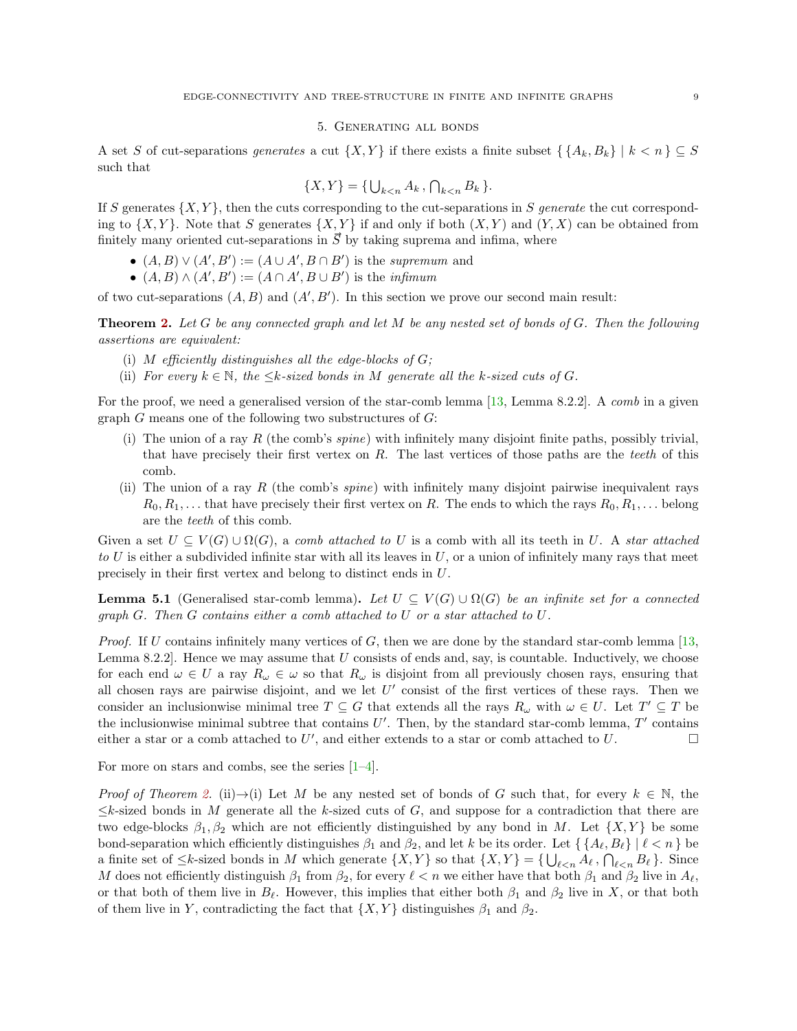## 5. Generating all bonds

<span id="page-8-0"></span>A set S of cut-separations generates a cut  $\{X, Y\}$  if there exists a finite subset  $\{\{A_k, B_k\} \mid k < n\} \subseteq S$ such that

$$
\{X,Y\} = \{\bigcup_{k < n} A_k, \bigcap_{k < n} B_k \}.
$$

If S generates  $\{X, Y\}$ , then the cuts corresponding to the cut-separations in S generate the cut corresponding to  $\{X, Y\}$ . Note that S generates  $\{X, Y\}$  if and only if both  $(X, Y)$  and  $(Y, X)$  can be obtained from finitely many oriented cut-separations in  $\vec{S}$  by taking suprema and infima, where

- $(A, B) \vee (A', B') := (A \cup A', B \cap B')$  is the supremum and
- $(A, B) \wedge (A', B') := (A \cap A', B \cup B')$  is the *infimum*

of two cut-separations  $(A, B)$  and  $(A', B')$ . In this section we prove our second main result:

**Theorem [2.](#page-1-0)** Let G be any connected graph and let M be any nested set of bonds of G. Then the following assertions are equivalent:

- (i) M efficiently distinguishes all the edge-blocks of  $G$ ;
- (ii) For every  $k \in \mathbb{N}$ , the  $\leq k$ -sized bonds in M generate all the k-sized cuts of G.

For the proof, we need a generalised version of the star-comb lemma [\[13,](#page-11-12) Lemma 8.2.2]. A comb in a given graph G means one of the following two substructures of  $G$ :

- (i) The union of a ray R (the comb's spine) with infinitely many disjoint finite paths, possibly trivial, that have precisely their first vertex on  $R$ . The last vertices of those paths are the teeth of this comb.
- (ii) The union of a ray R (the comb's *spine*) with infinitely many disjoint pairwise inequivalent rays  $R_0, R_1, \ldots$  that have precisely their first vertex on R. The ends to which the rays  $R_0, R_1, \ldots$  belong are the teeth of this comb.

Given a set  $U \subseteq V(G) \cup \Omega(G)$ , a comb attached to U is a comb with all its teeth in U. A star attached to U is either a subdivided infinite star with all its leaves in  $U$ , or a union of infinitely many rays that meet precisely in their first vertex and belong to distinct ends in U.

**Lemma 5.1** (Generalised star-comb lemma). Let  $U \subseteq V(G) \cup \Omega(G)$  be an infinite set for a connected graph G. Then G contains either a comb attached to U or a star attached to U.

*Proof.* If U contains infinitely many vertices of G, then we are done by the standard star-comb lemma [\[13,](#page-11-12) Lemma 8.2.2]. Hence we may assume that  $U$  consists of ends and, say, is countable. Inductively, we choose for each end  $\omega \in U$  a ray  $R_{\omega} \in \omega$  so that  $R_{\omega}$  is disjoint from all previously chosen rays, ensuring that all chosen rays are pairwise disjoint, and we let  $U'$  consist of the first vertices of these rays. Then we consider an inclusionwise minimal tree  $T \subseteq G$  that extends all the rays  $R_{\omega}$  with  $\omega \in U$ . Let  $T' \subseteq T$  be the inclusionwise minimal subtree that contains  $U'$ . Then, by the standard star-comb lemma,  $T'$  contains either a star or a comb attached to U', and either extends to a star or comb attached to U.

For more on stars and combs, see the series  $[1-4]$  $[1-4]$ .

Proof of Theorem [2.](#page-1-0) (ii) $\rightarrow$ (i) Let M be any nested set of bonds of G such that, for every  $k \in \mathbb{N}$ , the  $\leq k$ -sized bonds in M generate all the k-sized cuts of G, and suppose for a contradiction that there are two edge-blocks  $\beta_1, \beta_2$  which are not efficiently distinguished by any bond in M. Let  $\{X, Y\}$  be some bond-separation which efficiently distinguishes  $\beta_1$  and  $\beta_2$ , and let k be its order. Let  $\{\{A_\ell, B_\ell\} | \ell < n\}$  be a finite set of  $\leq k$ -sized bonds in M which generate  $\{X, Y\}$  so that  $\{X, Y\} = \{\bigcup_{\ell \leq n} A_\ell, \bigcap_{\ell \leq n} B_\ell\}$ . Since M does not efficiently distinguish  $\beta_1$  from  $\beta_2$ , for every  $\ell < n$  we either have that both  $\beta_1$  and  $\beta_2$  live in  $A_\ell$ , or that both of them live in  $B_\ell$ . However, this implies that either both  $\beta_1$  and  $\beta_2$  live in X, or that both of them live in Y, contradicting the fact that  $\{X, Y\}$  distinguishes  $\beta_1$  and  $\beta_2$ .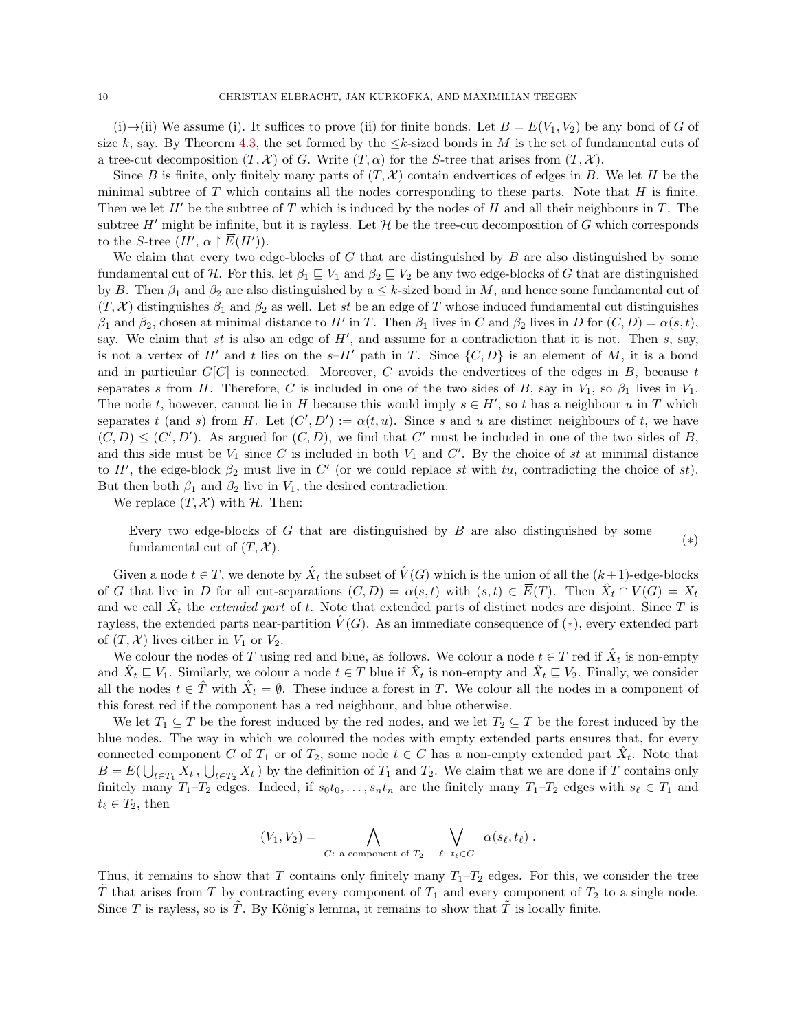(i)  $\rightarrow$ (ii) We assume (i). It suffices to prove (ii) for finite bonds. Let  $B = E(V_1, V_2)$  be any bond of G of size k, say. By Theorem [4.3,](#page-6-2) the set formed by the  $\leq k$ -sized bonds in M is the set of fundamental cuts of a tree-cut decomposition  $(T, \mathcal{X})$  of G. Write  $(T, \alpha)$  for the S-tree that arises from  $(T, \mathcal{X})$ .

Since B is finite, only finitely many parts of  $(T, \mathcal{X})$  contain endvertices of edges in B. We let H be the minimal subtree of  $T$  which contains all the nodes corresponding to these parts. Note that  $H$  is finite. Then we let  $H'$  be the subtree of T which is induced by the nodes of H and all their neighbours in T. The subtree  $H'$  might be infinite, but it is rayless. Let  $H$  be the tree-cut decomposition of G which corresponds to the S-tree  $(H', \alpha \restriction \vec{E}(H'))$ .

We claim that every two edge-blocks of  $G$  that are distinguished by  $B$  are also distinguished by some fundamental cut of H. For this, let  $\beta_1 \subseteq V_1$  and  $\beta_2 \subseteq V_2$  be any two edge-blocks of G that are distinguished by B. Then  $\beta_1$  and  $\beta_2$  are also distinguished by a  $\leq k$ -sized bond in M, and hence some fundamental cut of  $(T, \mathcal{X})$  distinguishes  $\beta_1$  and  $\beta_2$  as well. Let st be an edge of T whose induced fundamental cut distinguishes  $\beta_1$  and  $\beta_2$ , chosen at minimal distance to H' in T. Then  $\beta_1$  lives in C and  $\beta_2$  lives in D for  $(C, D) = \alpha(s, t)$ , say. We claim that st is also an edge of  $H'$ , and assume for a contradiction that it is not. Then s, say, is not a vertex of H' and t lies on the  $s-H'$  path in T. Since  $\{C, D\}$  is an element of M, it is a bond and in particular  $G[C]$  is connected. Moreover, C avoids the endvertices of the edges in B, because t separates s from H. Therefore, C is included in one of the two sides of B, say in  $V_1$ , so  $\beta_1$  lives in  $V_1$ . The node t, however, cannot lie in H because this would imply  $s \in H'$ , so t has a neighbour u in T which separates t (and s) from H. Let  $(C', D') := \alpha(t, u)$ . Since s and u are distinct neighbours of t, we have  $(C, D) \leq (C', D')$ . As argued for  $(C, D)$ , we find that C' must be included in one of the two sides of B, and this side must be  $V_1$  since C is included in both  $V_1$  and C'. By the choice of st at minimal distance to H', the edge-block  $\beta_2$  must live in C' (or we could replace st with tu, contradicting the choice of st). But then both  $\beta_1$  and  $\beta_2$  live in  $V_1$ , the desired contradiction.

We replace  $(T, \mathcal{X})$  with  $\mathcal{H}$ . Then:

Every two edge-blocks of  $G$  that are distinguished by  $B$  are also distinguished by some fundamental cut of  $(T, \mathcal{X})$ . (\*)

Given a node  $t \in T$ , we denote by  $\hat{X}_t$  the subset of  $\hat{V}(G)$  which is the union of all the  $(k+1)$ -edge-blocks of G that live in D for all cut-separations  $(C, D) = \alpha(s,t)$  with  $(s,t) \in \vec{E}(T)$ . Then  $\hat{X}_t \cap V(G) = X_t$ and we call  $\hat{X}_t$  the *extended part* of t. Note that extended parts of distinct nodes are disjoint. Since T is rayless, the extended parts near-partition  $\hat{V}(G)$ . As an immediate consequence of  $(*)$ , every extended part of  $(T, \mathcal{X})$  lives either in  $V_1$  or  $V_2$ .

We colour the nodes of T using red and blue, as follows. We colour a node  $t \in T$  red if  $\hat{X}_t$  is non-empty and  $\hat{X}_t \subseteq V_1$ . Similarly, we colour a node  $t \in T$  blue if  $\hat{X}_t$  is non-empty and  $\hat{X}_t \subseteq V_2$ . Finally, we consider all the nodes  $t \in \hat{T}$  with  $\hat{X}_t = \emptyset$ . These induce a forest in T. We colour all the nodes in a component of this forest red if the component has a red neighbour, and blue otherwise.

We let  $T_1 \subseteq T$  be the forest induced by the red nodes, and we let  $T_2 \subseteq T$  be the forest induced by the blue nodes. The way in which we coloured the nodes with empty extended parts ensures that, for every connected component C of  $T_1$  or of  $T_2$ , some node  $t \in C$  has a non-empty extended part  $\hat{X}_t$ . Note that  $B = E(\bigcup_{t \in T_1} X_t, \bigcup_{t \in T_2} X_t)$  by the definition of  $T_1$  and  $T_2$ . We claim that we are done if T contains only finitely many  $T_1-T_2$  edges. Indeed, if  $s_0t_0, \ldots, s_nt_n$  are the finitely many  $T_1-T_2$  edges with  $s_\ell \in T_1$  and  $t_\ell \in T_2$ , then

<span id="page-9-0"></span>
$$
(V_1, V_2) = \bigwedge_{C: \text{ a component of } T_2} \bigvee_{\ell: t_{\ell} \in C} \alpha(s_{\ell}, t_{\ell}).
$$

Thus, it remains to show that T contains only finitely many  $T_1-T_2$  edges. For this, we consider the tree  $\hat{T}$  that arises from T by contracting every component of  $T_1$  and every component of  $T_2$  to a single node. Since T is rayless, so is  $\tilde{T}$ . By Kőnig's lemma, it remains to show that  $\tilde{T}$  is locally finite.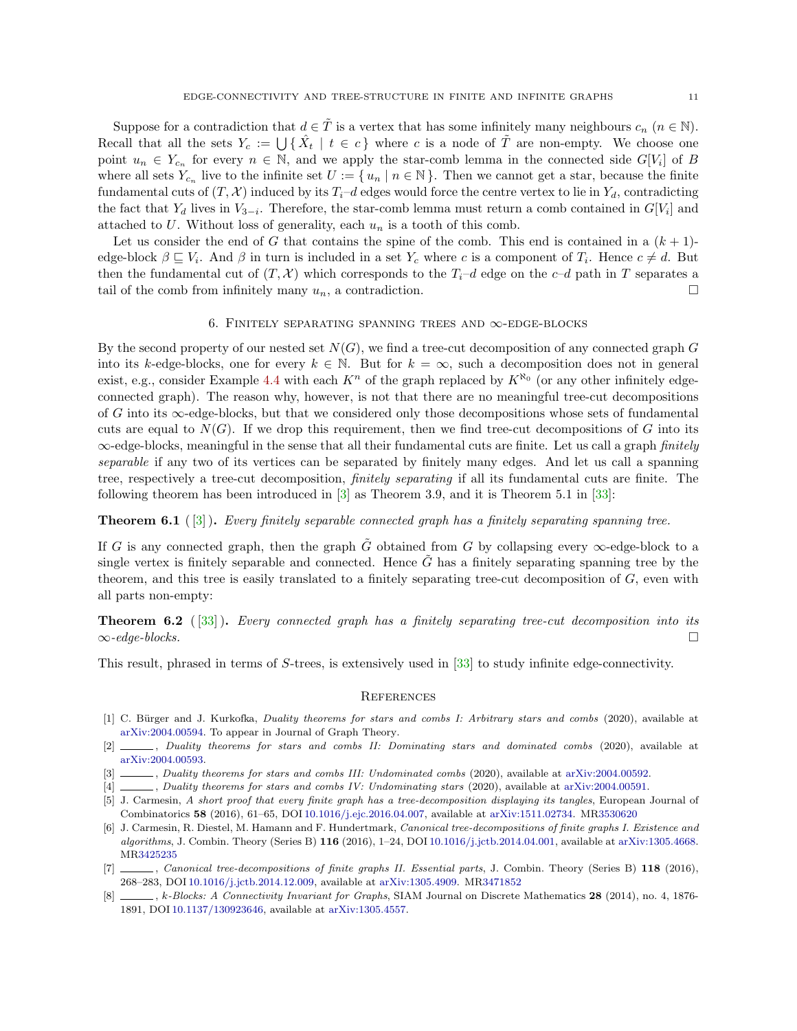Suppose for a contradiction that  $d \in \tilde{T}$  is a vertex that has some infinitely many neighbours  $c_n$   $(n \in \mathbb{N})$ . Recall that all the sets  $Y_c := \bigcup \{ \hat{X}_t \mid t \in c \}$  where c is a node of  $\tilde{T}$  are non-empty. We choose one point  $u_n \in Y_{c_n}$  for every  $n \in \mathbb{N}$ , and we apply the star-comb lemma in the connected side  $G[V_i]$  of B where all sets  $Y_{c_n}$  live to the infinite set  $U := \{u_n \mid n \in \mathbb{N}\}\.$  Then we cannot get a star, because the finite fundamental cuts of  $(T, \mathcal{X})$  induced by its  $T_i-d$  edges would force the centre vertex to lie in  $Y_d$ , contradicting the fact that  $Y_d$  lives in  $V_{3-i}$ . Therefore, the star-comb lemma must return a comb contained in  $G[V_i]$  and attached to  $U$ . Without loss of generality, each  $u_n$  is a tooth of this comb.

Let us consider the end of G that contains the spine of the comb. This end is contained in a  $(k+1)$ edge-block  $\beta \subseteq V_i$ . And  $\beta$  in turn is included in a set  $Y_c$  where c is a component of  $T_i$ . Hence  $c \neq d$ . But then the fundamental cut of  $(T, \mathcal{X})$  which corresponds to the  $T_i-d$  edge on the c–d path in T separates a tail of the comb from infinitely many  $u_n$ , a contradiction.

## 6. FINITELY SEPARATING SPANNING TREES AND  $\infty$ -EDGE-BLOCKS

<span id="page-10-1"></span>By the second property of our nested set  $N(G)$ , we find a tree-cut decomposition of any connected graph G into its k-edge-blocks, one for every  $k \in \mathbb{N}$ . But for  $k = \infty$ , such a decomposition does not in general exist, e.g., consider Example [4.4](#page-7-0) with each  $K^n$  of the graph replaced by  $K^{\aleph_0}$  (or any other infinitely edgeconnected graph). The reason why, however, is not that there are no meaningful tree-cut decompositions of G into its  $\infty$ -edge-blocks, but that we considered only those decompositions whose sets of fundamental cuts are equal to  $N(G)$ . If we drop this requirement, then we find tree-cut decompositions of G into its  $\infty$ -edge-blocks, meaningful in the sense that all their fundamental cuts are finite. Let us call a graph *finitely* separable if any two of its vertices can be separated by finitely many edges. And let us call a spanning tree, respectively a tree-cut decomposition, finitely separating if all its fundamental cuts are finite. The following theorem has been introduced in [\[3\]](#page-10-4) as Theorem 3.9, and it is Theorem 5.1 in [\[33\]](#page-11-17):

**Theorem 6.1** ( $\lceil 3 \rceil$ ). Every finitely separable connected graph has a finitely separating spanning tree.

If G is any connected graph, then the graph G obtained from G by collapsing every  $\infty$ -edge-block to a single vertex is finitely separable and connected. Hence  $G$  has a finitely separating spanning tree by the theorem, and this tree is easily translated to a finitely separating tree-cut decomposition of G, even with all parts non-empty:

**Theorem 6.2** ( $[33]$ ). Every connected graph has a finitely separating tree-cut decomposition into its  $\infty$ -edge-blocks.

This result, phrased in terms of S-trees, is extensively used in [\[33\]](#page-11-17) to study infinite edge-connectivity.

#### **REFERENCES**

- <span id="page-10-2"></span>[1] C. Bürger and J. Kurkofka, Duality theorems for stars and combs I: Arbitrary stars and combs (2020), available at [arXiv:2004.00594.](http://arxiv.org/abs/2004.00594) To appear in Journal of Graph Theory.
- [2] , Duality theorems for stars and combs II: Dominating stars and dominated combs (2020), available at [arXiv:2004.00593.](http://arxiv.org/abs/2004.00593)
- <span id="page-10-4"></span>[3] , Duality theorems for stars and combs III: Undominated combs (2020), available at [arXiv:2004.00592.](http://arxiv.org/abs/2004.00592)
- <span id="page-10-3"></span>[4] , Duality theorems for stars and combs IV: Undominating stars (2020), available at [arXiv:2004.00591.](http://arxiv.org/abs/2004.00591)
- <span id="page-10-0"></span>[5] J. Carmesin, A short proof that every finite graph has a tree-decomposition displaying its tangles, European Journal of Combinatorics 58 (2016), 61–65, DOI [10.1016/j.ejc.2016.04.007,](https://doi.org/10.1016/j.ejc.2016.04.007) available at [arXiv:1511.02734.](http://arxiv.org/abs/1511.02734) M[R3530620](http://www.ams.org/mathscinet-getitem?mr=3530620)
- [6] J. Carmesin, R. Diestel, M. Hamann and F. Hundertmark, Canonical tree-decompositions of finite graphs I. Existence and algorithms, J. Combin. Theory (Series B)  $116$  (2016), 1-24, DOI [10.1016/j.jctb.2014.04.001,](https://doi.org/10.1016/j.jctb.2014.04.001) available at [arXiv:1305.4668.](http://arxiv.org/abs/1305.4668) M[R3425235](http://www.ams.org/mathscinet-getitem?mr=3425235)
- [7] , Canonical tree-decompositions of finite graphs II. Essential parts, J. Combin. Theory (Series B) 118 (2016), 268–283, DOI [10.1016/j.jctb.2014.12.009,](https://doi.org/10.1016/j.jctb.2014.12.009) available at [arXiv:1305.4909.](http://arxiv.org/abs/1305.4909) M[R3471852](http://www.ams.org/mathscinet-getitem?mr=3471852)
- [8] , k-Blocks: A Connectivity Invariant for Graphs, SIAM Journal on Discrete Mathematics 28 (2014), no. 4, 1876-1891, DOI [10.1137/130923646,](https://doi.org/10.1137/130923646) available at [arXiv:1305.4557.](http://arxiv.org/abs/1305.4557)